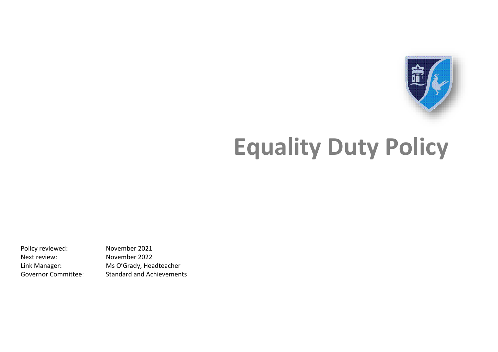

# **Equality Duty Policy**

Next review: November 2022

Policy reviewed: November 2021 Link Manager: Ms O'Grady, Headteacher Governor Committee: Standard and Achievements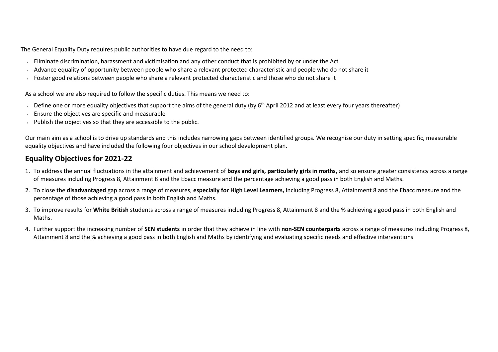The General Equality Duty requires public authorities to have due regard to the need to:

- Eliminate discrimination, harassment and victimisation and any other conduct that is prohibited by or under the Act
- Advance equality of opportunity between people who share a relevant protected characteristic and people who do not share it
- Foster good relations between people who share a relevant protected characteristic and those who do not share it

As a school we are also required to follow the specific duties. This means we need to:

- Define one or more equality objectives that support the aims of the general duty (by 6<sup>th</sup> April 2012 and at least every four years thereafter)
- Ensure the objectives are specific and measurable
- Publish the objectives so that they are accessible to the public.

Our main aim as a school is to drive up standards and this includes narrowing gaps between identified groups. We recognise our duty in setting specific, measurable equality objectives and have included the following four objectives in our school development plan.

#### **Equality Objectives for 2021-22**

- 1. To address the annual fluctuations in the attainment and achievement of **boys and girls, particularly girls in maths,** and so ensure greater consistency across a range of measures including Progress 8, Attainment 8 and the Ebacc measure and the percentage achieving a good pass in both English and Maths.
- 2. To close the **disadvantaged** gap across a range of measures, **especially for High Level Learners,** including Progress 8, Attainment 8 and the Ebacc measure and the percentage of those achieving a good pass in both English and Maths.
- 3. To improve results for **White British** students across a range of measures including Progress 8, Attainment 8 and the % achieving a good pass in both English and Maths.
- 4. Further support the increasing number of **SEN students** in order that they achieve in line with **non-SEN counterparts** across a range of measures including Progress 8, Attainment 8 and the % achieving a good pass in both English and Maths by identifying and evaluating specific needs and effective interventions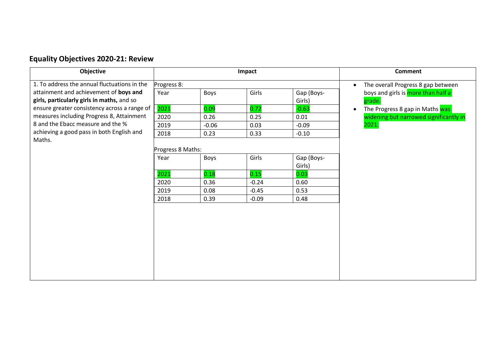# **Equality Objectives 2020-21: Review**

| Objective                                    | Impact            |         |         | <b>Comment</b> |                                                 |
|----------------------------------------------|-------------------|---------|---------|----------------|-------------------------------------------------|
| 1. To address the annual fluctuations in the | Progress 8:       |         |         |                | The overall Progress 8 gap between<br>$\bullet$ |
| attainment and achievement of boys and       | Year              | Boys    | Girls   | Gap (Boys-     | boys and girls is more than half a              |
| girls, particularly girls in maths, and so   |                   |         |         | Girls)         | grade.                                          |
| ensure greater consistency across a range of | 2021              | 0.09    | 0.72    | $-0.63$        | The Progress 8 gap in Maths was<br>$\bullet$    |
| measures including Progress 8, Attainment    | 2020              | 0.26    | 0.25    | 0.01           | widening but narrowed significantly in          |
| 8 and the Ebacc measure and the %            | 2019              | $-0.06$ | 0.03    | $-0.09$        | 2021.                                           |
| achieving a good pass in both English and    | 2018              | 0.23    | 0.33    | $-0.10$        |                                                 |
| Maths.                                       |                   |         |         |                |                                                 |
|                                              | Progress 8 Maths: |         |         |                |                                                 |
|                                              | Year              | Boys    | Girls   | Gap (Boys-     |                                                 |
|                                              |                   |         |         | Girls)         |                                                 |
|                                              | 2021              | 0.18    | 0.15    | 0.03           |                                                 |
|                                              | 2020              | 0.36    | $-0.24$ | 0.60           |                                                 |
|                                              | 2019              | 0.08    | $-0.45$ | 0.53           |                                                 |
|                                              | 2018              | 0.39    | $-0.09$ | 0.48           |                                                 |
|                                              |                   |         |         |                |                                                 |
|                                              |                   |         |         |                |                                                 |
|                                              |                   |         |         |                |                                                 |
|                                              |                   |         |         |                |                                                 |
|                                              |                   |         |         |                |                                                 |
|                                              |                   |         |         |                |                                                 |
|                                              |                   |         |         |                |                                                 |
|                                              |                   |         |         |                |                                                 |
|                                              |                   |         |         |                |                                                 |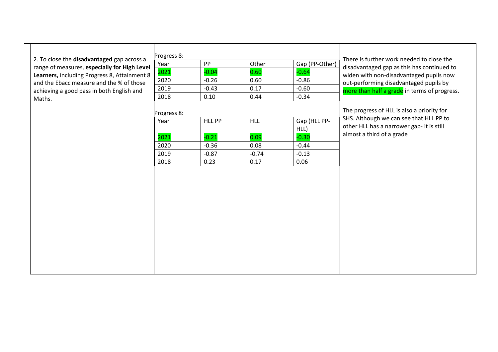2. To close the **disad vantaged**  gap across a range of measures, **especially for High Level**  Learners, including Progress 8, Attainment 8 and the Ebacc measure and the % of those ac hieving a good pass in both English and Maths.

| Year        | PP            | Other      | Gap (PP-Other) | There is:<br>disadvan                         |
|-------------|---------------|------------|----------------|-----------------------------------------------|
| 2021        | $-0.04$       | 0.60       | $-0.64$        | widen w                                       |
| 2020        | $-0.26$       | 0.60       | $-0.86$        | out-perf                                      |
| 2019        | $-0.43$       | 0.17       | $-0.60$        | more tha                                      |
| 2018        | 0.10          | 0.44       | $-0.34$        |                                               |
| Progress 8: |               |            |                |                                               |
| Year        | <b>HLL PP</b> | <b>HLL</b> | Gap (HLL PP-   |                                               |
|             |               |            | HLL)           | The prog<br>SHS. Alth<br>other HL<br>almost a |
| 2021        | $-0.21$       | 0.09       | $-0.30$        |                                               |
| 2020        | $-0.36$       | 0.08       | $-0.44$        |                                               |
| 2019        | $-0.87$       | $-0.74$    | $-0.13$        |                                               |

further work needed to close the ntaged gap as this has continued to ith non-disadvantaged pupils now forming disadvantaged pupils by an half a grade in terms of progress.

gress of HLL is also a priority for hough we can see that HLL PP to LL has a narrower gap- it is still third of a grade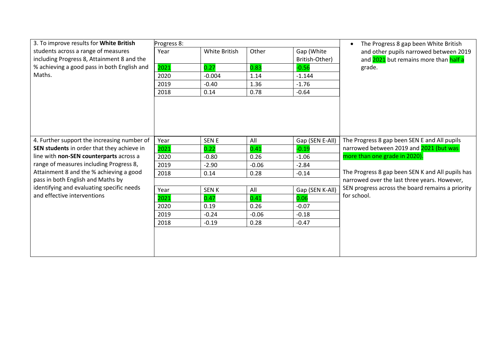| 3. To improve results for White British               | Progress 8: |                      |         |                 | The Progress 8 gap been White British            |
|-------------------------------------------------------|-------------|----------------------|---------|-----------------|--------------------------------------------------|
| students across a range of measures                   | Year        | <b>White British</b> | Other   | Gap (White      | and other pupils narrowed between 2019           |
| including Progress 8, Attainment 8 and the            |             |                      |         | British-Other)  | and 2021 but remains more than half a            |
| % achieving a good pass in both English and<br>Maths. | 2021        | 0.27                 | 0.83    | $-0.56$         | grade.                                           |
|                                                       | 2020        | $-0.004$             | 1.14    | $-1.144$        |                                                  |
|                                                       | 2019        | $-0.40$              | 1.36    | $-1.76$         |                                                  |
|                                                       | 2018        | 0.14                 | 0.78    | $-0.64$         |                                                  |
|                                                       |             |                      |         |                 |                                                  |
| 4. Further support the increasing number of           | Year        | <b>SEN E</b>         | All     | Gap (SEN E-All) | The Progress 8 gap been SEN E and All pupils     |
| SEN students in order that they achieve in            | 2021        | 0.22                 | 0.41    | $-0.19$         | narrowed between 2019 and 2021 (but was          |
| line with non-SEN counterparts across a               | 2020        | $-0.80$              | 0.26    | $-1.06$         | more than one grade in 2020).                    |
| range of measures including Progress 8,               | 2019        | $-2.90$              | $-0.06$ | $-2.84$         |                                                  |
| Attainment 8 and the % achieving a good               | 2018        | 0.14                 | 0.28    | $-0.14$         | The Progress 8 gap been SEN K and All pupils has |
| pass in both English and Maths by                     |             |                      |         |                 | narrowed over the last three years. However,     |
| identifying and evaluating specific needs             | Year        | <b>SENK</b>          | All     | Gap (SEN K-All) | SEN progress across the board remains a priority |
| and effective interventions                           | 2021        | 0.47                 | 0.41    | 0.06            | for school.                                      |
|                                                       | 2020        | 0.19                 | 0.26    | $-0.07$         |                                                  |
|                                                       | 2019        | $-0.24$              | $-0.06$ | $-0.18$         |                                                  |
|                                                       | 2018        | $-0.19$              | 0.28    | $-0.47$         |                                                  |
|                                                       |             |                      |         |                 |                                                  |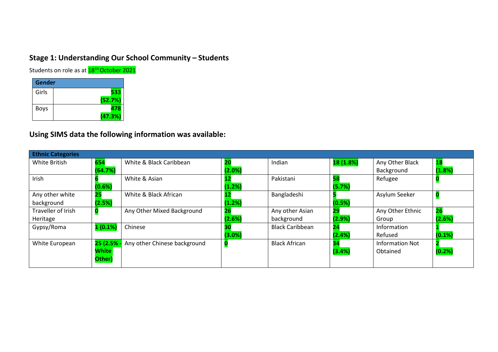### **Stage 1: Understanding Our School Community – Students**

Students on role as at **18<sup>1h</sup> October 2021** 

| Gender |         |
|--------|---------|
| Girls  | 533     |
|        | (52.7%) |
| Boys   | 478     |
|        | (47.3%) |

# **Using SIMS data the following information was available:**

| <b>18</b><br>(1.8%) |
|---------------------|
|                     |
|                     |
|                     |
|                     |
|                     |
|                     |
| 26                  |
| (2.6%)              |
|                     |
| (0.1%)              |
|                     |
| (0.2%)              |
|                     |
|                     |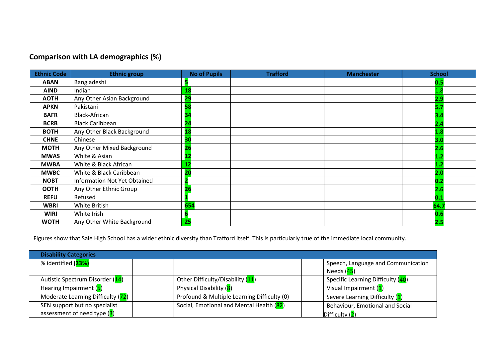# **Comparison with LA demographics (%)**

| <b>Ethnic Code</b> | <b>Ethnic group</b>                 | <b>No of Pupils</b> | <b>Trafford</b> | <b>Manchester</b> | <b>School</b> |
|--------------------|-------------------------------------|---------------------|-----------------|-------------------|---------------|
| <b>ABAN</b>        | Bangladeshi                         |                     |                 |                   | 0.5           |
| <b>AIND</b>        | Indian                              | 18                  |                 |                   |               |
| <b>AOTH</b>        | Any Other Asian Background          | 29                  |                 |                   | <u>2.9</u>    |
| <b>APKN</b>        | Pakistani                           | 58                  |                 |                   | 5.7           |
| <b>BAFR</b>        | <b>Black-African</b>                | 34                  |                 |                   | 3.4           |
| <b>BCRB</b>        | <b>Black Caribbean</b>              | 24                  |                 |                   | 2.4           |
| <b>BOTH</b>        | Any Other Black Background          | <b>18</b>           |                 |                   |               |
| <b>CHNE</b>        | Chinese                             | 30                  |                 |                   | 3.0           |
| <b>MOTH</b>        | Any Other Mixed Background          | 26                  |                 |                   |               |
| <b>MWAS</b>        | White & Asian                       |                     |                 |                   |               |
| <b>MWBA</b>        | White & Black African               | 12                  |                 |                   |               |
| <b>MWBC</b>        | White & Black Caribbean             | 20                  |                 |                   |               |
| <b>NOBT</b>        | <b>Information Not Yet Obtained</b> |                     |                 |                   | 0.2           |
| <b>OOTH</b>        | Any Other Ethnic Group              | 26                  |                 |                   | 2.6           |
| <b>REFU</b>        | Refused                             |                     |                 |                   | 0.1           |
| <b>WBRI</b>        | White British                       | 654                 |                 |                   | 64.7          |
| <b>WIRI</b>        | White Irish                         |                     |                 |                   |               |
| <b>WOTH</b>        | Any Other White Background          | 25                  |                 |                   | 2.5           |

Figures show that Sale High School has a wider ethnic diversity than Trafford itself. This is particularly true of the immediate local community.

| <b>Disability Categories</b>      |                                             |                                    |  |  |  |  |
|-----------------------------------|---------------------------------------------|------------------------------------|--|--|--|--|
| % identified (23%)                |                                             | Speech, Language and Communication |  |  |  |  |
|                                   |                                             | Needs ( <mark>45</mark> )          |  |  |  |  |
| Autistic Spectrum Disorder (14)   | Other Difficulty/Disability (11)            | Specific Learning Difficulty (40)  |  |  |  |  |
| Hearing Impairment (5)            | Physical Disability (8)                     | Visual Impairment (1)              |  |  |  |  |
| Moderate Learning Difficulty (72) | Profound & Multiple Learning Difficulty (0) | Severe Learning Difficulty (1)     |  |  |  |  |
| SEN support but no specialist     | Social, Emotional and Mental Health (82)    | Behaviour, Emotional and Social    |  |  |  |  |
| assessment of need type $(3)$     |                                             | Difficultv(2)                      |  |  |  |  |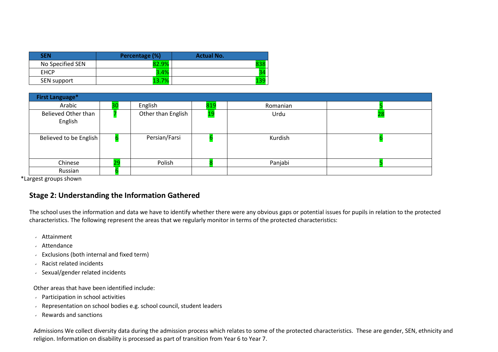| <b>SEN</b>       | Percentage (%) | <b>Actual No.</b> |
|------------------|----------------|-------------------|
| No Specified SEN |                |                   |
| <b>EHCP</b>      | 3.4%           | 54                |
| SEN support      | 7%             |                   |

| <b>First Language*</b>         |    |                    |            |          |    |
|--------------------------------|----|--------------------|------------|----------|----|
| Arabic                         | 30 | English            | 819        | Romanian |    |
| Believed Other than<br>English |    | Other than English | <u> 19</u> | Urdu     | 28 |
| Believed to be English         |    | Persian/Farsi      |            | Kurdish  |    |
| Chinese                        | 29 | Polish             |            | Panjabi  |    |
| Russian                        |    |                    |            |          |    |

\*Largest groups shown

#### **Stage 2: Understanding the Information Gathered**

The school uses the information and data we have to identify whether there were any obvious gaps or potential issues for pupils in relation to the protected characteristics. The following represent the areas that we regularly monitor in terms of the protected characteristics:

- Attainment
- Attendance
- $\cdot$  Exclusions (both internal and fixed term)
- Racist related incidents
- Sexual/gender related incidents

Other areas that have been identified include:

- Participation in school activities
- Representation on school bodies e.g. school council, student leaders
- Rewards and sanctions

Admissions We collect diversity data during the admission process which relates to some of the protected characteristics. These are gender, SEN, ethnicity and religion. Information on disability is processed as part of transition from Year 6 to Year 7.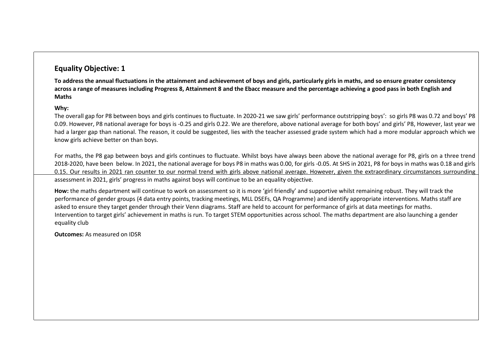#### **Equality Objective: 1**

**To address the annual fluctuations in the attainment and achievement of boys and girls, particularly girls in maths, and so ensure greater consistency across a range of measures including Progress 8, Attainment 8 and the Ebacc measure and the percentage achieving a good pass in both English and Maths** 

#### **Why:**

The overall gap for P8 between boys and girls continues to fluctuate. In 2020-21 we saw girls' performance outstripping boys': so girls P8 was 0.72 and boys' P8 0.09. However, P8 national average for boys is -0.25 and girls 0.22. We are therefore, above national average for both boys' and girls' P8, However, last year we had a larger gap than national. The reason, it could be suggested, lies with the teacher assessed grade system which had a more modular approach which we know girls achieve better on than boys.

For maths, the P8 gap between boys and girls continues to fluctuate. Whilst boys have always been above the national average for P8, girls on a three trend 2018-2020, have been below. In 2021, the national average for boys P8 in maths was 0.00, for girls -0.05. At SHS in 2021, P8 for boys in maths was 0.18 and girls 0.15. Our results in 2021 ran counter to our normal trend with girls above national average. However, given the extraordinary circumstances surrounding assessment in 2021, girls' progress in maths against boys will continue to be an equality objective.

**How:** the maths department will continue to work on assessment so it is more 'girl friendly' and supportive whilst remaining robust. They will track the performance of gender groups (4 data entry points, tracking meetings, MLL DSEFs, QA Programme) and identify appropriate interventions. Maths staff are asked to ensure they target gender through their Venn diagrams. Staff are held to account for performance of girls at data meetings for maths. Intervention to target girls' achievement in maths is run. To target STEM opportunities across school. The maths department are also launching a gender equality club

**Outcomes:** As measured on IDSR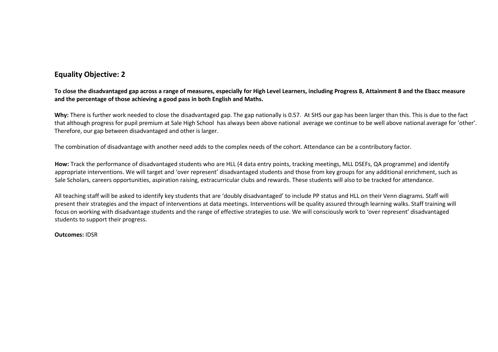#### **Equality Objective: 2**

**To close the disadvantaged gap across a range of measures, especially for High Level Learners, including Progress 8, Attainment 8 and the Ebacc measure and the percentage of those achieving a good pass in both English and Maths.**

**Why:** There is further work needed to close the disadvantaged gap. The gap nationally is 0.57. At SHS our gap has been larger than this. This is due to the fact that although progress for pupil premium at Sale High School has always been above national average we continue to be well above national average for 'other'. Therefore, our gap between disadvantaged and other is larger.

The combination of disadvantage with another need adds to the complex needs of the cohort. Attendance can be a contributory factor.

**How:** Track the performance of disadvantaged students who are HLL (4 data entry points, tracking meetings, MLL DSEFs, QA programme) and identify appropriate interventions. We will target and 'over represent' disadvantaged students and those from key groups for any additional enrichment, such as Sale Scholars, careers opportunities, aspiration raising, extracurricular clubs and rewards. These students will also to be tracked for attendance.

All teaching staff will be asked to identify key students that are 'doubly disadvantaged' to include PP status and HLL on their Venn diagrams. Staff will present their strategies and the impact of interventions at data meetings. Interventions will be quality assured through learning walks. Staff training will focus on working with disadvantage students and the range of effective strategies to use. We will consciously work to 'over represent' disadvantaged students to support their progress.

**Outcomes:** IDSR